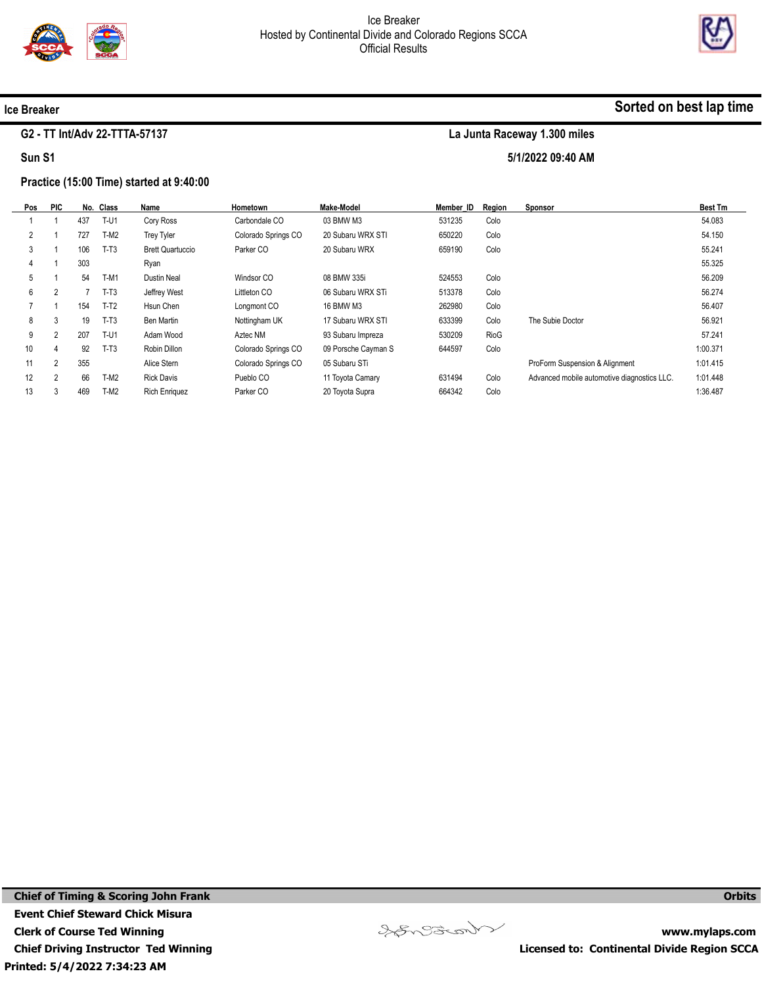

5/1/2022 09:40 AM



#### Ice Breaker

#### G2 - TT Int/Adv 22-TTTA-57137

Sun S1

#### Practice (15:00 Time) started at 9:40:00

| Pos            | <b>PIC</b>     |     | No. Class | Name                    | Hometown            | <b>Make-Model</b>   | Member ID | Region | Sponsor                                     | <b>Best Tm</b> |
|----------------|----------------|-----|-----------|-------------------------|---------------------|---------------------|-----------|--------|---------------------------------------------|----------------|
|                |                | 437 | $T-U1$    | Cory Ross               | Carbondale CO       | 03 BMW M3           | 531235    | Colo   |                                             | 54.083         |
| $\overline{2}$ |                | 727 | $T-M2$    | <b>Trey Tyler</b>       | Colorado Springs CO | 20 Subaru WRX STI   | 650220    | Colo   |                                             | 54.150         |
| 3              |                | 106 | $T-T3$    | <b>Brett Quartuccio</b> | Parker CO           | 20 Subaru WRX       | 659190    | Colo   |                                             | 55.241         |
| 4              |                | 303 |           | Ryan                    |                     |                     |           |        |                                             | 55.325         |
| 5              |                | 54  | $T-M1$    | <b>Dustin Neal</b>      | Windsor CO          | 08 BMW 335i         | 524553    | Colo   |                                             | 56.209         |
| 6              | 2              |     | $T-T3$    | Jeffrey West            | Littleton CO        | 06 Subaru WRX STi   | 513378    | Colo   |                                             | 56.274         |
|                |                | 154 | $T-T2$    | Hsun Chen               | Longmont CO         | 16 BMW M3           | 262980    | Colo   |                                             | 56.407         |
| 8              | 3              | 19  | $T-T3$    | Ben Martin              | Nottingham UK       | 17 Subaru WRX STI   | 633399    | Colo   | The Subie Doctor                            | 56.921         |
| 9              | $\overline{2}$ | 207 | T-U1      | Adam Wood               | Aztec NM            | 93 Subaru Impreza   | 530209    | RioG   |                                             | 57.241         |
| 10             | 4              | 92  | $T-T3$    | Robin Dillon            | Colorado Springs CO | 09 Porsche Cayman S | 644597    | Colo   |                                             | 1:00.371       |
| 11             | $\overline{2}$ | 355 |           | Alice Stern             | Colorado Springs CO | 05 Subaru STi       |           |        | ProForm Suspension & Alignment              | 1:01.415       |
| 12             | $\overline{2}$ | 66  | $T-M2$    | <b>Rick Davis</b>       | Pueblo CO           | 11 Toyota Camary    | 631494    | Colo   | Advanced mobile automotive diagnostics LLC. | 1:01.448       |
| 13             | 3              | 469 | $T-M2$    | <b>Rich Enriquez</b>    | Parker CO           | 20 Toyota Supra     | 664342    | Colo   |                                             | 1:36.487       |

Printed: 5/4/2022 7:34:23 AM Chief of Timing & Scoring John Frank Event Chief Steward Chick Misura Clerk of Course Ted Winning Chief Driving Instructor Ted Winning



www.mylaps.com Licensed to: Continental Divide Region SCCA

**Orbits**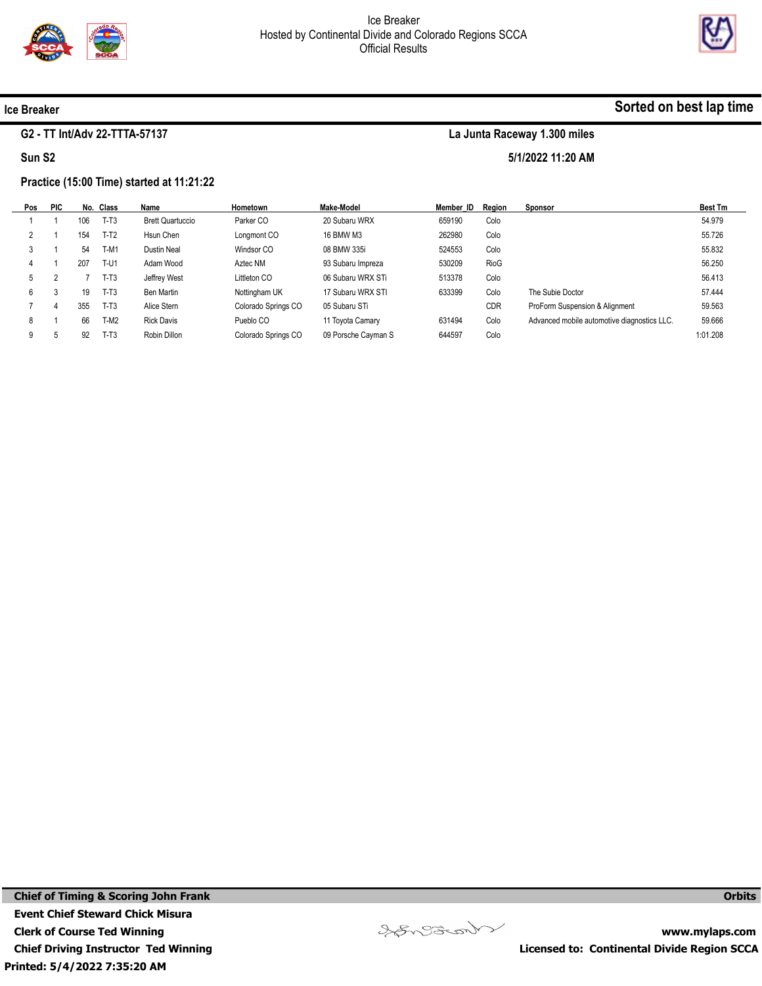

5/1/2022 11:20 AM



#### Ice Breaker

### G2 - TT Int/Adv 22-TTTA-57137

Sun S2

#### Practice (15:00 Time) started at 11:21:22

| Pos | <b>PIC</b> |     | No. Class   | Name                    | Hometown            | <b>Make-Model</b>   | Member ID | Reaion      | <b>Sponsor</b>                              | <b>Best Tm</b> |
|-----|------------|-----|-------------|-------------------------|---------------------|---------------------|-----------|-------------|---------------------------------------------|----------------|
|     |            | 106 | $T-T3$      | <b>Brett Quartuccio</b> | Parker CO           | 20 Subaru WRX       | 659190    | Colo        |                                             | 54.979         |
|     |            | 154 | $T-T2$      | Hsun Chen               | Longmont CO         | 16 BMW M3           | 262980    | Colo        |                                             | 55.726         |
|     |            | 54  | T-M1        | Dustin Neal             | Windsor CO          | 08 BMW 335i         | 524553    | Colo        |                                             | 55.832         |
|     |            | 207 | <b>T-U1</b> | Adam Wood               | Aztec NM            | 93 Subaru Impreza   | 530209    | <b>RioG</b> |                                             | 56.250         |
| 5   |            |     | T-T3        | Jeffrey West            | Littleton CO        | 06 Subaru WRX STi   | 513378    | Colo        |                                             | 56.413         |
| 6   | C.         | 19  | $T-T3$      | Ben Martin              | Nottingham UK       | 17 Subaru WRX STI   | 633399    | Colo        | The Subie Doctor                            | 57.444         |
|     |            | 355 | $T-T3$      | Alice Stern             | Colorado Springs CO | 05 Subaru STi       |           | <b>CDR</b>  | ProForm Suspension & Alignment              | 59.563         |
| 8   |            | 66  | T-M2        | <b>Rick Davis</b>       | Pueblo CO           | 11 Toyota Camary    | 631494    | Colo        | Advanced mobile automotive diagnostics LLC. | 59.666         |
| 9   |            | 92  | T-T3        | Robin Dillon            | Colorado Springs CO | 09 Porsche Cayman S | 644597    | Colo        |                                             | 1:01.208       |
|     |            |     |             |                         |                     |                     |           |             |                                             |                |



www.mylaps.com Licensed to: Continental Divide Region SCCA

**Orbits**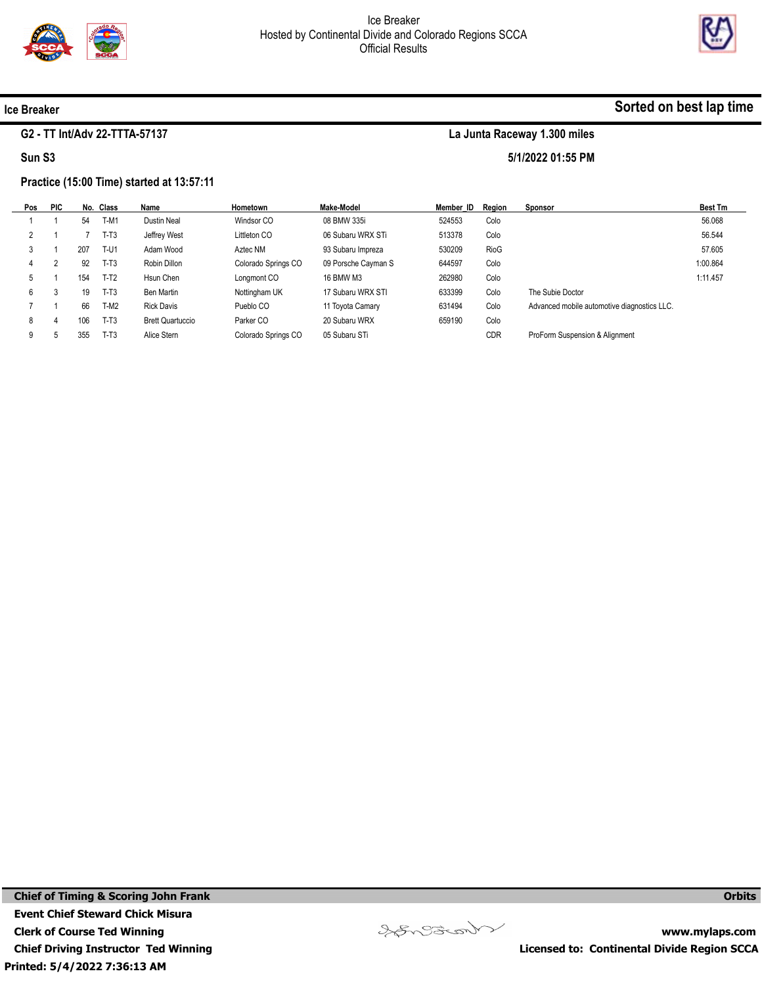

5/1/2022 01:55 PM



#### Ice Breaker

#### G2 - TT Int/Adv 22-TTTA-57137

Sun S3

#### Practice (15:00 Time) started at 13:57:11

| Pos | <b>PIC</b> |     | No. Class   | Name                    | Hometown            | Make-Model          | Member ID | Reaion      | Sponsor                                     | <b>Best Tm</b> |
|-----|------------|-----|-------------|-------------------------|---------------------|---------------------|-----------|-------------|---------------------------------------------|----------------|
|     |            | 54  | T-M1        | Dustin Neal             | Windsor CO          | 08 BMW 335i         | 524553    | Colo        |                                             | 56.068         |
|     |            |     | $T-T3$      | Jeffrey West            | Littleton CO        | 06 Subaru WRX STi   | 513378    | Colo        |                                             | 56.544         |
|     |            | 207 | <b>T-U1</b> | Adam Wood               | Aztec NM            | 93 Subaru Impreza   | 530209    | <b>RioG</b> |                                             | 57.605         |
|     |            | 92  | $T-T3$      | Robin Dillon            | Colorado Springs CO | 09 Porsche Cayman S | 644597    | Colo        |                                             | 1:00.864       |
| 5   |            | 154 | $T-T2$      | Hsun Chen               | Longmont CO         | 16 BMW M3           | 262980    | Colo        |                                             | 1:11.457       |
| 6   |            | 19  | $T-T3$      | Ben Martin              | Nottingham UK       | 17 Subaru WRX STI   | 633399    | Colo        | The Subie Doctor                            |                |
|     |            | 66  | $T-M2$      | <b>Rick Davis</b>       | Pueblo CO           | 11 Toyota Camary    | 631494    | Colo        | Advanced mobile automotive diagnostics LLC. |                |
| 8   |            | 106 | $T-T3$      | <b>Brett Quartuccio</b> | Parker CO           | 20 Subaru WRX       | 659190    | Colo        |                                             |                |
| 9   |            | 355 | $T-T3$      | Alice Stern             | Colorado Springs CO | 05 Subaru STi       |           | <b>CDR</b>  | ProForm Suspension & Alignment              |                |

Veneziant

**Orbits**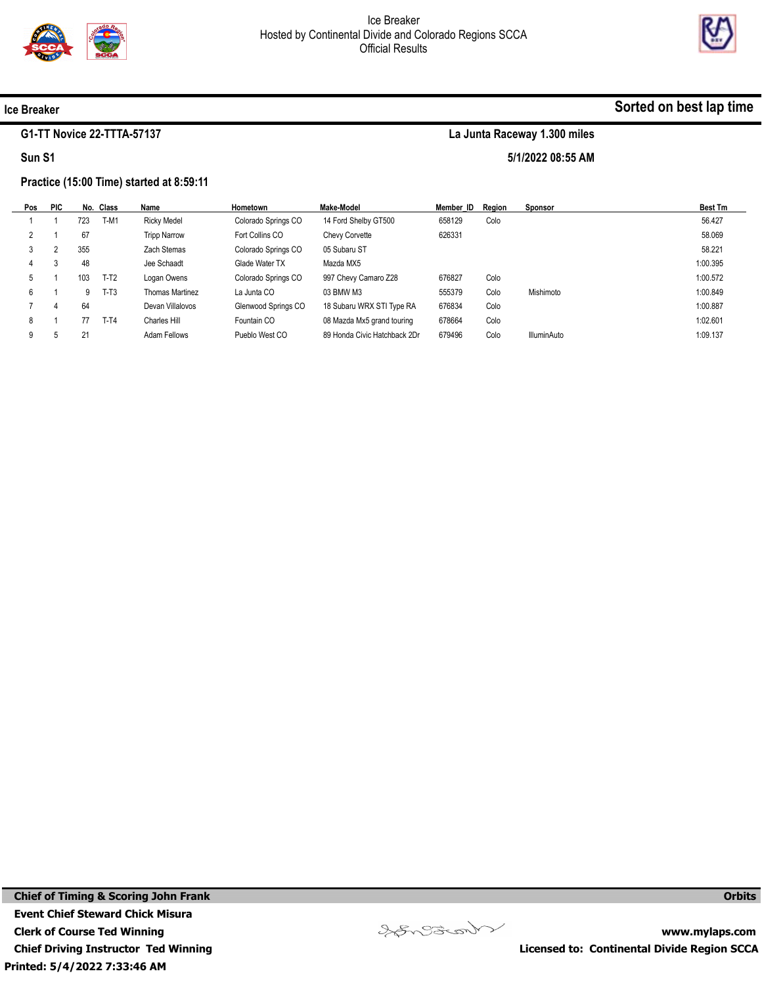

5/1/2022 08:55 AM



#### Ice Breaker

#### G1-TT Novice 22-TTTA-57137

Sun S1

#### Practice (15:00 Time) started at 8:59:11

| 56.427<br>58.069<br>58.221 |
|----------------------------|
|                            |
|                            |
|                            |
| 1:00.395                   |
| 1:00.572                   |
| 1:00.849                   |
| 1:00.887                   |
| 1:02.601                   |
| 1:09.137                   |
|                            |

Printed: 5/4/2022 7:33:46 AM Chief of Timing & Scoring John Frank Event Chief Steward Chick Misura Clerk of Course Ted Winning Chief Driving Instructor Ted Winning



www.mylaps.com Licensed to: Continental Divide Region SCCA

**Orbits**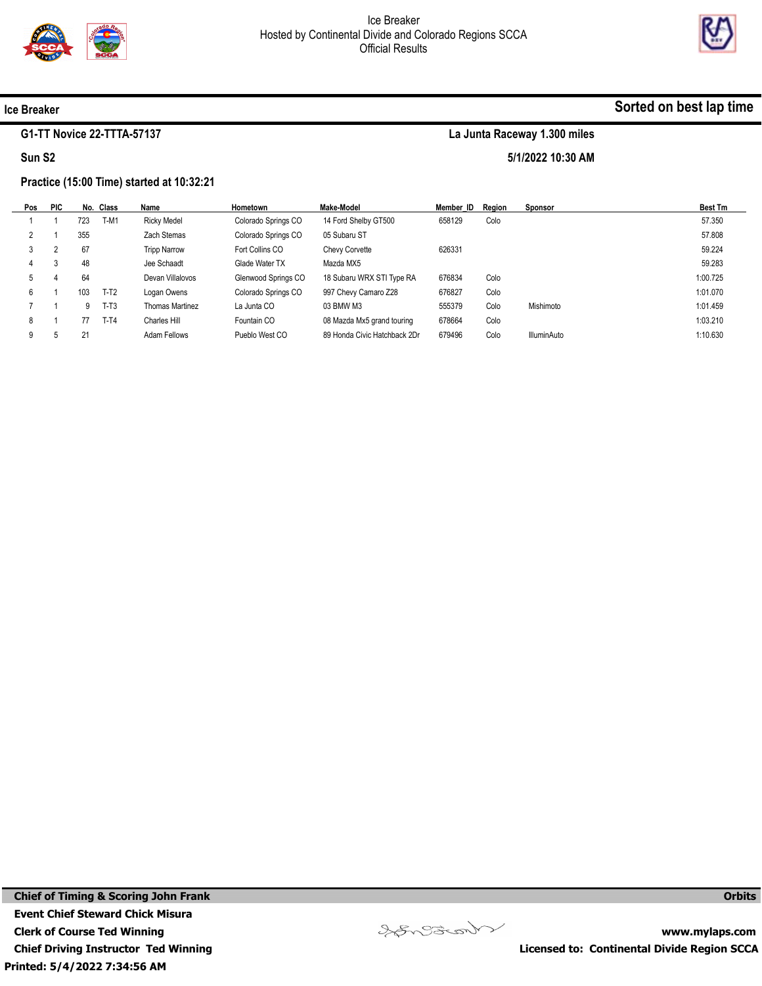



Sorted on best lap time

#### Ice Breaker

#### G1-TT Novice 22-TTTA-57137

Sun S2

# La Junta Raceway 1.300 miles

5/1/2022 10:30 AM

#### Practice (15:00 Time) started at 10:32:21

| Pos | <b>PIC</b> |     | No. Class | Name                | Hometown            | Make-Model                   | Member ID | Reaion | <b>Sponsor</b>     | <b>Best Tm</b> |
|-----|------------|-----|-----------|---------------------|---------------------|------------------------------|-----------|--------|--------------------|----------------|
|     |            | 723 | T-M1      | <b>Ricky Medel</b>  | Colorado Springs CO | 14 Ford Shelby GT500         | 658129    | Colo   |                    | 57.350         |
|     |            | 355 |           | Zach Stemas         | Colorado Springs CO | 05 Subaru ST                 |           |        |                    | 57.808         |
|     |            | 67  |           | <b>Tripp Narrow</b> | Fort Collins CO     | <b>Chevy Corvette</b>        | 626331    |        |                    | 59.224         |
| 4   |            | 48  |           | Jee Schaadt         | Glade Water TX      | Mazda MX5                    |           |        |                    | 59.283         |
| 5   |            | 64  |           | Devan Villalovos    | Glenwood Springs CO | 18 Subaru WRX STI Type RA    | 676834    | Colo   |                    | 1:00.725       |
| 6   |            | 103 | $T-T2$    | Logan Owens         | Colorado Springs CO | 997 Chevy Camaro Z28         | 676827    | Colo   |                    | 1:01.070       |
|     |            | 9   | $T-T3$    | Thomas Martinez     | La Junta CO         | 03 BMW M3                    | 555379    | Colo   | Mishimoto          | 1:01.459       |
| 8   |            | 77  | $T-T4$    | Charles Hill        | Fountain CO         | 08 Mazda Mx5 grand touring   | 678664    | Colo   |                    | 1:03.210       |
| 9   |            | 21  |           | Adam Fellows        | Pueblo West CO      | 89 Honda Civic Hatchback 2Dr | 679496    | Colo   | <b>IlluminAuto</b> | 1:10.630       |

Veneziant

www.mylaps.com Licensed to: Continental Divide Region SCCA

**Orbits**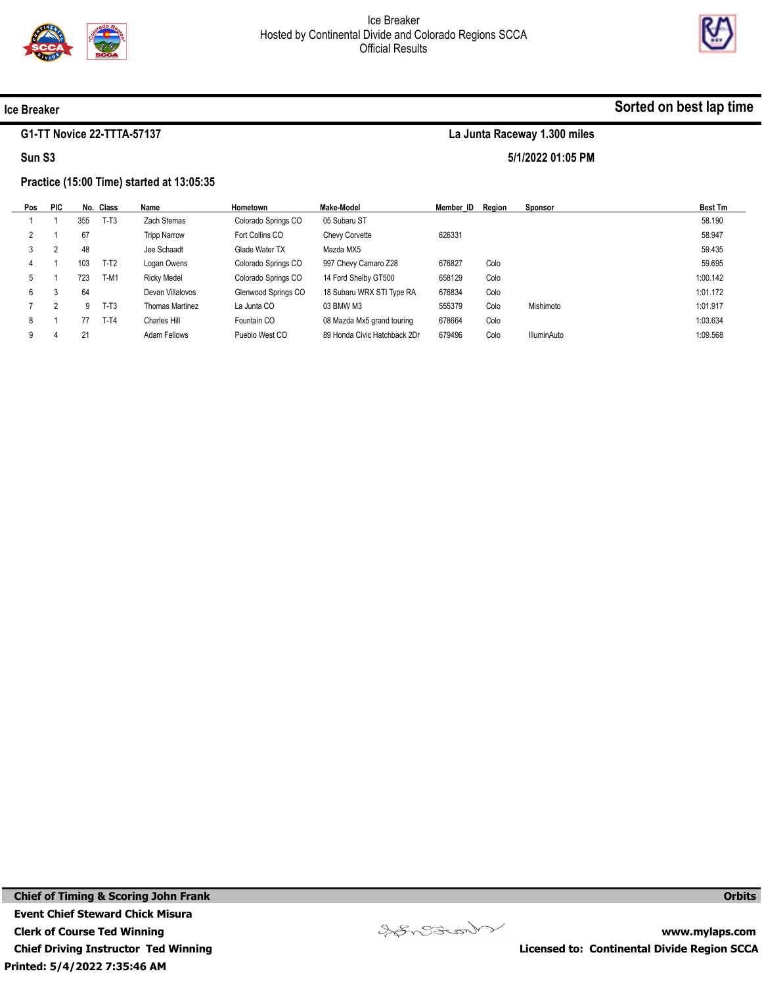

5/1/2022 01:05 PM



#### Ice Breaker

#### G1-TT Novice 22-TTTA-57137

Sun S3

## Practice (15:00 Time) started at 13:05:35

| Pos | <b>PIC</b> |     | No. Class | Name                | Hometown            | Make-Model                   | Member ID Region |      | Sponsor     | <b>Best Tm</b> |
|-----|------------|-----|-----------|---------------------|---------------------|------------------------------|------------------|------|-------------|----------------|
|     |            | 355 | $T-T3$    | Zach Stemas         | Colorado Springs CO | 05 Subaru ST                 |                  |      |             | 58.190         |
|     |            | 67  |           | <b>Tripp Narrow</b> | Fort Collins CO     | Chevy Corvette               | 626331           |      |             | 58.947         |
|     |            | 48  |           | Jee Schaadt         | Glade Water TX      | Mazda MX5                    |                  |      |             | 59.435         |
| 4   |            | 103 | $T-T2$    | Logan Owens         | Colorado Springs CO | 997 Chevy Camaro Z28         | 676827           | Colo |             | 59.695         |
| b.  |            | 723 | T-M1      | <b>Ricky Medel</b>  | Colorado Springs CO | 14 Ford Shelby GT500         | 658129           | Colo |             | 1:00.142       |
| 6   |            | 64  |           | Devan Villalovos    | Glenwood Springs CO | 18 Subaru WRX STI Type RA    | 676834           | Colo |             | 1:01.172       |
|     |            | 9   | $T-T3$    | Thomas Martinez     | La Junta CO         | 03 BMW M3                    | 555379           | Colo | Mishimoto   | 1:01.917       |
| 8   |            |     | $T-T4$    | Charles Hill        | Fountain CO         | 08 Mazda Mx5 grand touring   | 678664           | Colo |             | 1:03.634       |
| 9   |            | 21  |           | Adam Fellows        | Pueblo West CO      | 89 Honda Civic Hatchback 2Dr | 679496           | Colo | IlluminAuto | 1:09.568       |

Printed: 5/4/2022 7:35:46 AM Chief of Timing & Scoring John Frank Event Chief Steward Chick Misura Clerk of Course Ted Winning Chief Driving Instructor Ted Winning



www.mylaps.com Licensed to: Continental Divide Region SCCA

**Orbits**